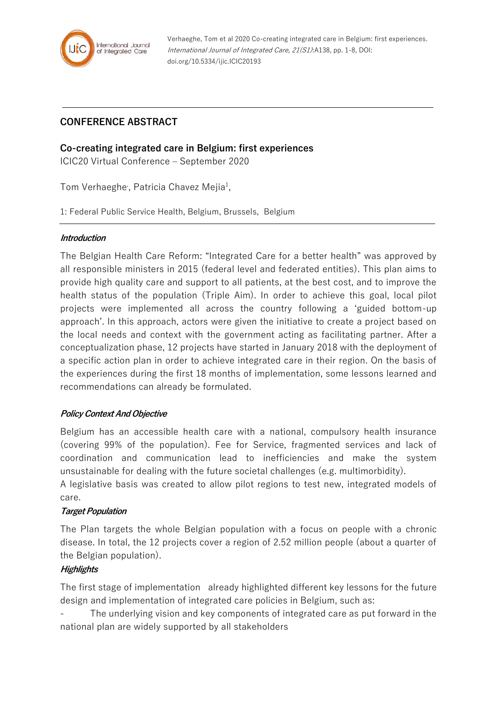

Verhaeghe, Tom et al 2020 Co-creating integrated care in Belgium: first experiences. International Journal of Integrated Care, 21(S1):A138, pp. 1-8, DOI: doi.org/10.5334/ijic.ICIC20193

## **CONFERENCE ABSTRACT**

### **Co-creating integrated care in Belgium: first experiences**

ICIC20 Virtual Conference – September 2020

Tom Verhaeghe, Patricia Chavez Mejia<sup>1</sup>,

1: Federal Public Service Health, Belgium, Brussels, Belgium

#### **Introduction**

The Belgian Health Care Reform: "Integrated Care for a better health" was approved by all responsible ministers in 2015 (federal level and federated entities). This plan aims to provide high quality care and support to all patients, at the best cost, and to improve the health status of the population (Triple Aim). In order to achieve this goal, local pilot projects were implemented all across the country following a 'guided bottom-up approach'. In this approach, actors were given the initiative to create a project based on the local needs and context with the government acting as facilitating partner. After a conceptualization phase, 12 projects have started in January 2018 with the deployment of a specific action plan in order to achieve integrated care in their region. On the basis of the experiences during the first 18 months of implementation, some lessons learned and recommendations can already be formulated.

### **Policy Context And Objective**

Belgium has an accessible health care with a national, compulsory health insurance (covering 99% of the population). Fee for Service, fragmented services and lack of coordination and communication lead to inefficiencies and make the system unsustainable for dealing with the future societal challenges (e.g. multimorbidity).

A legislative basis was created to allow pilot regions to test new, integrated models of care.

### **Target Population**

The Plan targets the whole Belgian population with a focus on people with a chronic disease. In total, the 12 projects cover a region of 2.52 million people (about a quarter of the Belgian population).

### **Highlights**

The first stage of implementation already highlighted different key lessons for the future design and implementation of integrated care policies in Belgium, such as:

The underlying vision and key components of integrated care as put forward in the national plan are widely supported by all stakeholders